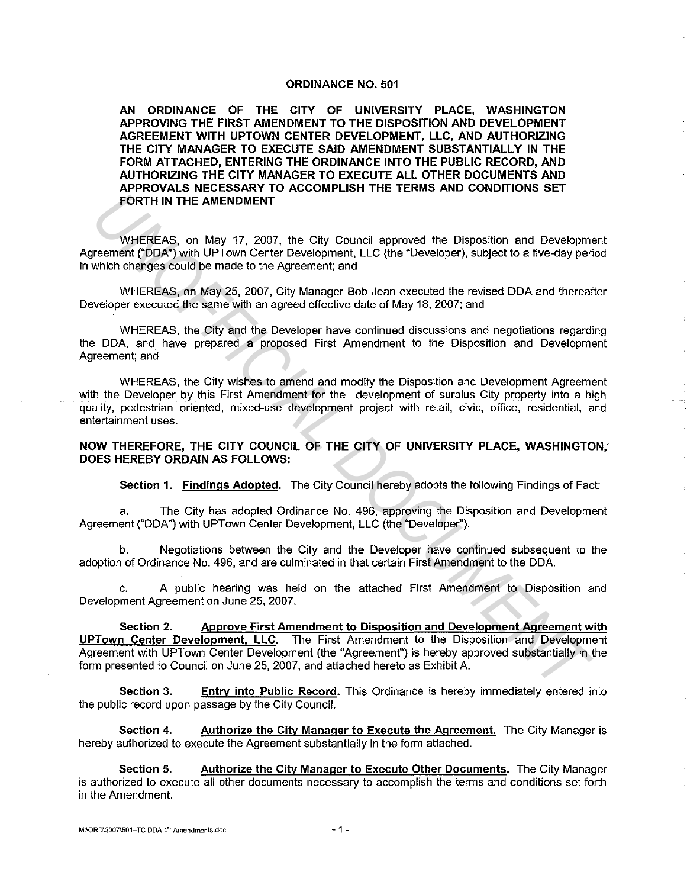#### **ORDINANCE NO. 501**

**AN ORDINANCE OF THE CITY OF UNIVERSITY PLACE, WASHINGTON APPROVING THE FIRST AMENDMENT TO THE DISPOSITION AND DEVELOPMENT AGREEMENT WITH UPTOWN CENTER DEVELOPMENT, LLC, AND AUTHORIZING THE CITY MANAGER TO EXECUTE SAID AMENDMENT SUBSTANTIALLY IN THE FORM ATTACHED, ENTERING THE ORDINANCE INTO THE PUBLIC RECORD, AND AUTHORIZING THE CITY MANAGER TO EXECUTE ALL OTHER DOCUMENTS AND APPROVALS NECESSARY TO ACCOMPLISH THE TERMS AND CONDITIONS SET FORTH IN THE AMENDMENT** 

WHEREAS, on May 17, 2007, the City Council approved the Disposition and Development Agreement ("DDA") with UPTown Center Development, LLC (the "Developer), subject to a five-day period in which changes could be made to the Agreement; and

WHEREAS, on May 25, 2007, City Manager Bob Jean executed the revised DDA and thereafter Developer executed the same with an agreed effective date of May 18, 2007; and

WHEREAS, the City and the Developer have continued discussions and negotiations regarding the DDA, and have prepared a proposed First Amendment to the Disposition and Development Agreement; and

WHEREAS, the City wishes to amend and modify the Disposition and Development Agreement with the Developer by this First Amendment for the development of surplus City property into a high quality, pedestrian oriented, mixed-use development project with retail, civic, office, residential, and entertainment uses.

#### **NOW THEREFORE, THE CITY COUNCIL OF THE CITY OF UNIVERSITY PLACE, WASHINGTON, DOES HEREBY ORDAIN AS FOLLOWS:**

**Section 1. Findings Adopted.** The City Council hereby adopts the following Findings of Fact:

a. The City has adopted Ordinance No. 496, approving the Disposition and Development Agreement ("DDA") with UPTown Center Development, LLC (the "Developer'').

b. Negotiations between the City and the Developer have continued subsequent to the adoption of Ordinance No. 496, and are culminated in that certain First Amendment to the DDA.

c. A public hearing was held on the attached First Amendment to Disposition and Development Agreement on June 25, 2007.

**Section 2. Approve First Amendment to Disposition and Development Agreement with UPTown Center Development, LLC.** The First Amendment to the Disposition and Development Agreement with UPTown Center Development (the "Agreement") is hereby approved substantially in the form presented to Council on June 25, 2007, and attached hereto as Exhibit A. **FORTH IN THE AMENDMENT**<br> **EXERCAS, on May 17. 2007, the City Council approved the Disposition and Development (DDAT) with UPTown Center Development, LLC (the "Developer), subject to a five-day per<br>
which changes could be** 

**Section 3.** Entry into Public Record. This Ordinance is hereby immediately entered into the public record upon passage by the City Council.

**Section 4. Authorize the City Manager to Execute the Agreement.** The City Manager is hereby authorized to execute the Agreement substantially in the form attached.

**Section 5. Authorize the City Manager to Execute Other Documents.** The City Manager is authorized to execute all other documents necessary to accomplish the terms and conditions set forth in the Amendment.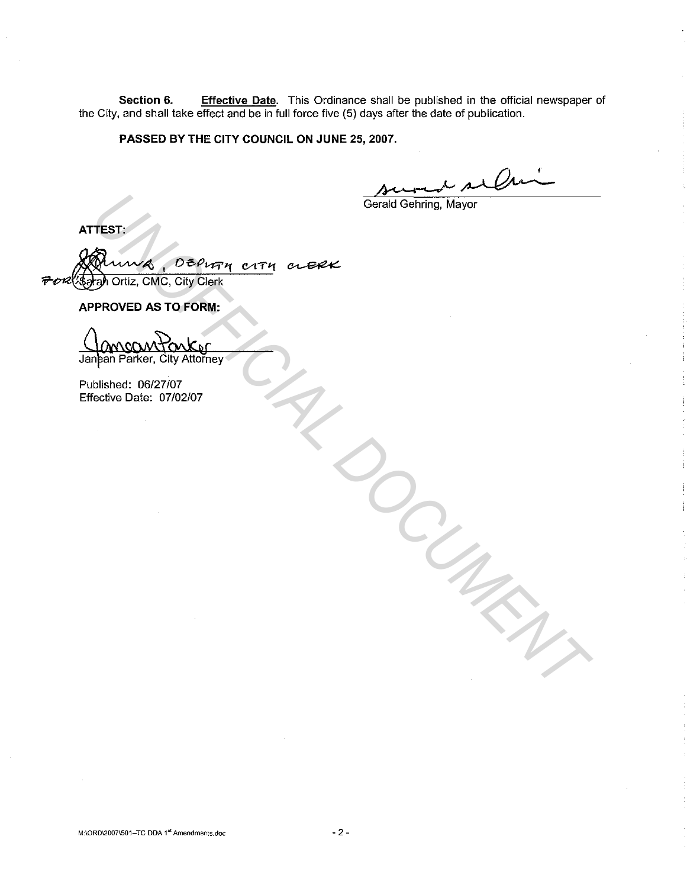**Section 6. Effective Date.** This Ordinance shall be published in the official newspaper of the City, and shall take effect and be in full force five (5) days after the date of publication.

**PASSED BY THE CITY COUNCIL ON JUNE 25, 2007.** 

Dм

*DOCUMENT*

Gerald Gehring, Mayor

**ATTEST:** 

**TEST:**<br>
Muning , DEPIFIN CITY CLERK<br> **PROVED AS TO FORM:**<br>
PROVED AS TO FORM:<br>
MOOM PONK OF CITY<br>
plan Parker, City Attorney<br>
blished: 06/27/07<br>
Fective Date: 07/02/07 DEPUTH CITY CLERK Sarah Ortiz, CMC, City Clerk  $\tilde{\mathbf{v}}$ 

**APPROVED AS TO FORM:** 

Published: 06/27/07 Effective Date: 07/02/07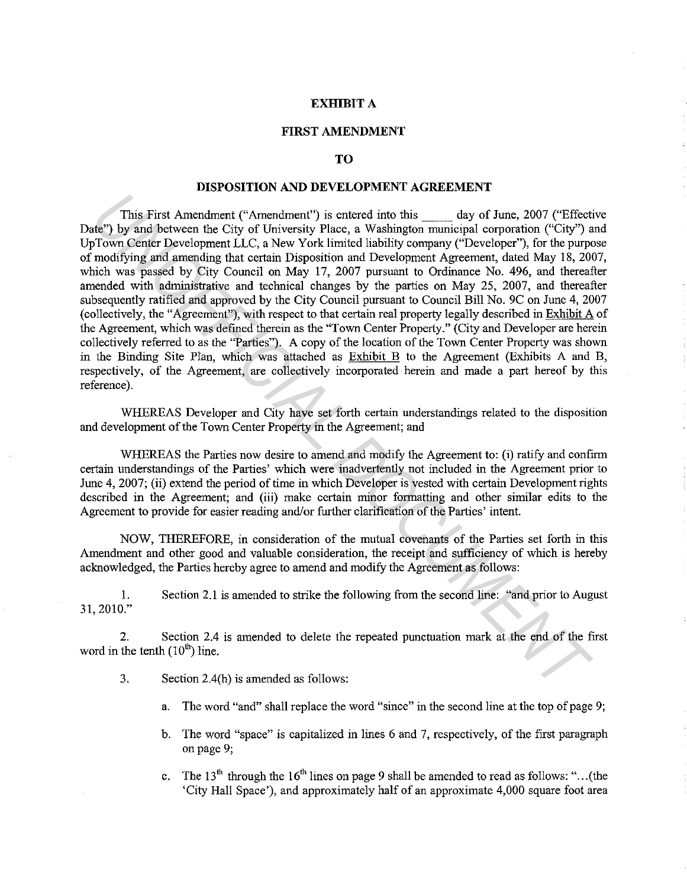## **EXHIBIT A**

## **FIRST AMENDMENT**

# **TO**

## **DISPOSITION AND DEVELOPMENT AGREEMENT**

This First Amendment ("Amendment") is entered into this \_\_ day of June, 2007 ("Effective Date") by and between the City of University Place, a Washington municipal corporation ("City") and Up Town Center Development LLC, a New York limited liability company ("Developer"), for the purpose of modifying and amending that certain Disposition and Development Agreement, dated May 18, 2007, which was passed by City Council on May 17, 2007 pursuant to Ordinance No. 496, and thereafter amended with administrative and technical changes by the parties on May 25, 2007, and thereafter subsequently ratified and approved by the City Council pursuant to Council Bill No. 9C on June 4, 2007 (collectively, the "Agreement"), with respect to that certain real property legally described in Exhibit A of the Agreement, which was defined therein as the "Town Center Property." (City and Developer are herein collectively referred to as the "Parties"). A copy of the location of the Town Center Property was shown in the Binding Site Plan, which was attached as Exhibit B to the Agreement (Exhibits A and B, respectively, of the Agreement, are collectively incorporated herein and made a part hereof by this reference). This First Amendment ("Amendment") is entered into this day of June, 2007 ("Effective") by and between the City of University Place, a Washington municipal corporation ("Gity") or form Center Development LLC, a New York l

WHEREAS Developer and City have set forth certain understandings related to the disposition and development of the Town Center Property in the Agreement; and

WHEREAS the Parties now desire to amend and modify the Agreement to: (i) ratify and confirm certain understandings of the Parties' which were inadvertently not included in the Agreement prior to June 4, 2007; (ii) extend the period of time in which Developer is vested with certain Development rights described in the Agreement; and (iii) make certain minor formatting and other similar edits to the Agreement to provide for easier reading and/or further clarification of the Parties' intent.

NOW, THEREFORE, in consideration of the mutual covenants of the Parties set forth in this Amendment and other good and valuable consideration, the receipt and sufficiency of which is hereby acknowledged, the Parties hereby agree to amend and modify the Agreement as follows:

I. 31, 2010." Section 2.1 is amended to strike the following from the second line: "and prior to August

2. Section 2.4 is amended to delete the repeated punctuation mark at the end of the first word in the tenth  $(10<sup>th</sup>)$  line.

- 3. Section 2.4(h) is amended as follows:
	- a. The word "and" shall replace the word "since" in the second line at the top of page 9;
	- b. The word "space" is capitalized in lines 6 and 7, respectively, of the first paragraph on page 9;
	- c. The 13<sup>th</sup> through the 16<sup>th</sup> lines on page 9 shall be amended to read as follows: "... (the 'City Hall Space'), and approximately half of an approximate 4,000 square foot area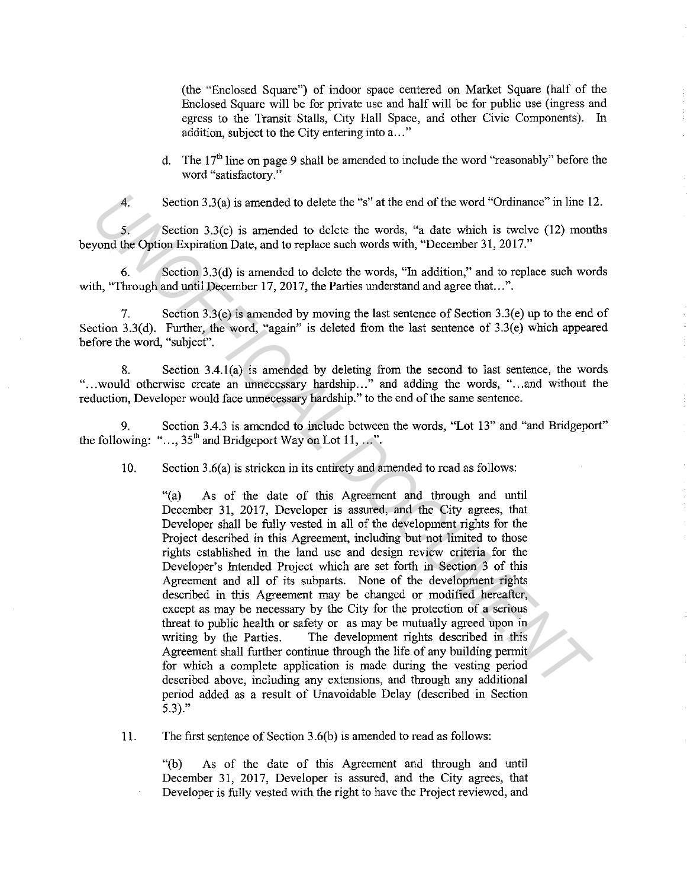(the "Enclosed Square") of indoor space centered on Market Square (half of the Enclosed Square will be for private use and half will be for public use (ingress and egress to the Transit Stalls, City Hall Space, and other Civic Components). In addition, subject to the City entering into a..."

d. The  $17<sup>th</sup>$  line on page 9 shall be amended to include the word "reasonably" before the word "satisfactory."

4. Section 3.3(a) is amended to delete the "s" at the end of the word "Ordinance" in line 12.

5. Section 3.3(c) is amended to delete the words, "a date which is twelve (12) months beyond the Option Expiration Date, and to replace such words with, "December 31, 2017."

6. Section 3.3(d) is amended to delete the words, "In addition," and to replace such words with, "Through and until December 17, 2017, the Parties understand and agree that...".

7. Section 3.3(e) is amended by moving the last sentence of Section 3.3(e) up to the end of Section 3.3(d). Further, the word, "again" is deleted from the last sentence of 3.3(e) which appeared before the word, "subject".

8. Section 3.4.l(a) is amended by deleting from the second to last sentence, the words "... would otherwise create an unnecessary hardship..." and adding the words, "... and without the reduction, Developer would face unnecessary hardship." to the end of the same sentence.

9. Section 3.4.3 is amended to include between the words, "Lot 13" and "and Bridgeport" the following: "...,  $35<sup>th</sup>$  and Bridgeport Way on Lot 11, ...".

10. Section 3.6(a) is stricken in its entirety and amended to read as follows:

"(a) As of the date of this Agreement and through and until December 31, 2017, Developer is assured, and the City agrees, that Developer shall be fully vested in all of the development rights for the Project described in this Agreement, including but not limited to those rights established in the land use and design review criteria for the Developer's Intended Project which are set forth in Section 3 of this Agreement and all of its subparts. None of the development rights described in this Agreement may be changed or modified hereafter, except as may be necessary by the City for the protection of a serious threat to public health or safety or as may be mutually agreed upon in writing by the Parties. The development rights described in this Agreement shall further continue through the life of any building permit for which a complete application is made during the vesting period described above, including any extensions, and through any additional period added as a result of Unavoidable Delay (described in Section 5.3)." 4. Section 3.3(a) is amended to delete the "s" at the end of the word "Ordinance" in line 1<br>
yond the Option Expiration Date, and to replace such words with, "December 31, 2017."<br>
yond the Option Expiration Date, and to re

11. The first sentence of Section 3.6(b) is amended to read as follows:

"(b) As of the date of this Agreement and through and until December 31, 2017, Developer is assured, and the City agrees, that Developer is fully vested with the right to have the Project reviewed, and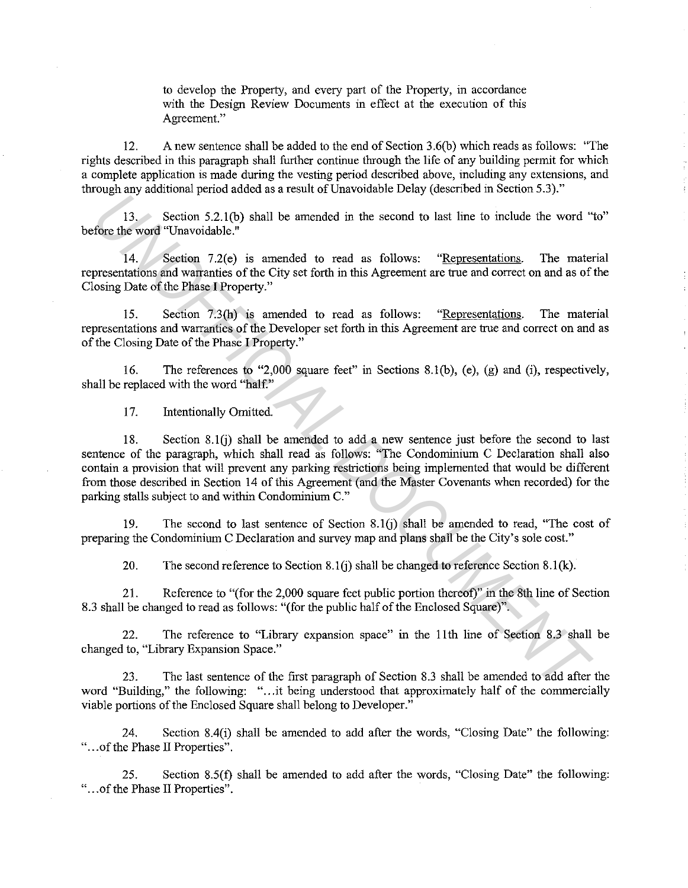to develop the Property, and every part of the Property, in accordance with the Design Review Documents in effect at the execution of this Agreement."

12. A new sentence shall be added to the end of Section 3.6(b) which reads as follows: "The rights described in this paragraph shall further continue through the life of any building permit for which a complete application is made during the vesting period described above, including any extensions, and through any additional period added as a result of Unavoidable Delay (described in Section 5.3)."

13. Section 5.2.l(b) shall be amended in the second to last line to include the word "to" before the word "Unavoidable."

14. Section 7.2(e) is amended to read as follows: "Representations. The material representations and warranties of the City set forth in this Agreement are true and correct on and as of the Closing Date of the Phase I Property."

15. Section 7.3(h) is amended to read as follows: "Representations. The material representations and warranties of the Developer set forth in this Agreement are true and correct on and as of the Closing Date of the Phase I Property."

16. The references to "2,000 square feet" in Sections 8.l(b), (e), (g) and (i), respectively, shall be replaced with the word "half."

17. Intentionally Omitted.

18. Section 8.1(i) shall be amended to add a new sentence just before the second to last sentence of the paragraph, which shall read as follows: "The Condominium C Declaration shall also contain a provision that will prevent any parking restrictions being implemented that would be different from those described in Section 14 of this Agreement (and the Master Covenants when recorded) for the parking stalls subject to and within Condominium C." **13.** Section 5.2.1(b) shall be amended in the second to last line to include the word "<br> **14.** Section 7.2(c) is amended to read as follows: "<u>Representations</u>. The material<br>
14. Section 7.2(c) is amended to read as follo

19. The second to last sentence of Section 8.l(j) shall be amended to read, "The cost of preparing the Condominium C Declaration and survey map and plans shall be the City's sole cost."

20. The second reference to Section 8.1(j) shall be changed to reference Section 8.1(k).

21. Reference to "(for the 2,000 square feet public portion thereof)" in the 8th line of Section 8.3 shall be changed to read as follows: "(for the public half of the Enclosed Square)".

22. The reference to "Library expansion space" in the 11th line of Section 8.3 shall be changed to, "Library Expansion Space."

23. The last sentence of the first paragraph of Section 8.3 shall be amended to add after the word "Building," the following: "...it being understood that approximately half of the commercially viable portions of the Enclosed Square shall belong to Developer."

24. Section 8.4(i) shall be amended to add after the words, "Closing Date" the following: "... of the Phase II Properties".

25. Section 8.5(f) shall be amended to add after the words, "Closing Date" the following: "... of the Phase II Properties".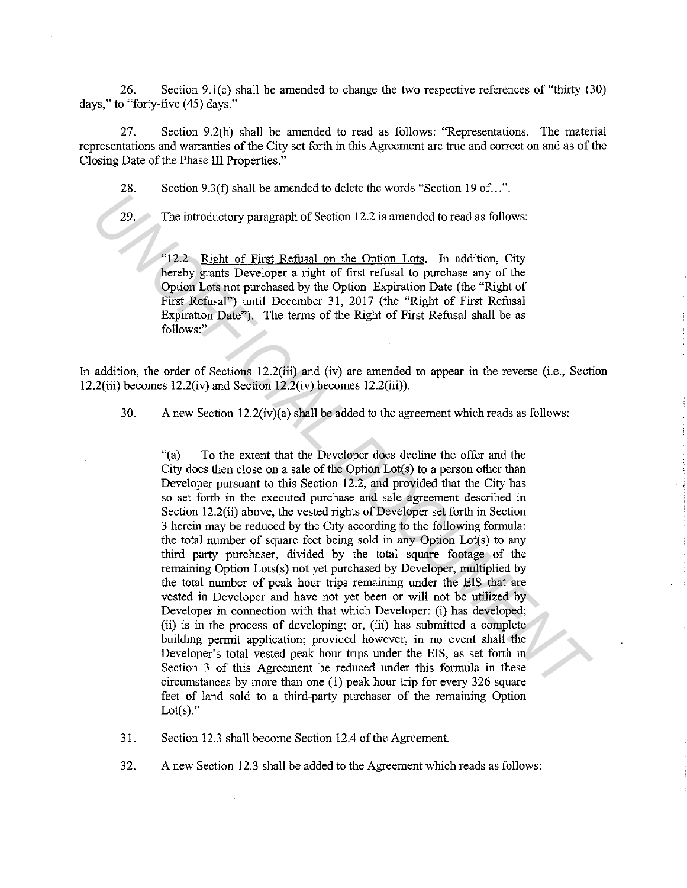26. Section 9.l(c) shall be amended to change the two respective references of "thirty (30) days," to "forty-five (45) days."

27. Section 9.2(h) shall be amended to read as follows: "Representations. The material representations and warranties of the City set forth in this Agreement are true and correct on and as of the Closing Date of the Phase III Properties."

28. Section 9.3(f) shall be amended to delete the words "Section 19 of...".

29. The introductory paragraph of Section 12.2 is amended to read as follows:

"12.2 Right of First Refusal on the Option Lots. In addition, City hereby grants Developer a right of first refusal to purchase any of the Option Lots not purchased by the Option Expiration Date (the "Right of First Refusal") until December 31, 2017 (the "Right of First Refusal Expiration Date"). The terms of the Right of First Refusal shall be as follows:"

In addition, the order of Sections 12.2(iii) and (iv) are amended to appear in the reverse (i.e., Section 12.2(iii) becomes  $12.2$ (iv) and Section  $12.2$ (iv) becomes  $12.2$ (iii)).

30. A new Section  $12.2(iv)(a)$  shall be added to the agreement which reads as follows:

"(a) To the extent that the Developer does decline the offer and the City does then close on a sale of the Option Lot(s) to a person other than Developer pursuant to this Section 12.2, and provided that the City has so set forth in the executed purchase and sale agreement described in Section 12.2(ii) above, the vested rights of Developer set forth in Section 3 herein may be reduced by the City according to the following formula: the total number of square feet being sold in any Option Lot(s) to any third party purchaser, divided by the total square footage of the remaining Option Lots(s) not yet purchased by Developer, multiplied by the total number of peak hour trips remaining under the EIS that are vested in Developer and have not yet been or will not be utilized by Developer in connection with that which Developer: (i) has developed; (ii) is in the process of developing; or, (iii) has submitted a complete building permit application; provided however, in no event shall the Developer's total vested peak hour trips under the EIS, as set forth in Section 3 of this Agreement be reduced under this formula in these circumstances by more than one (1) peak hour trip for every 326 square feet of land sold to a third-party purchaser of the remaining Option Lot $(s)$ ." **12.2** The introductory paragraph of Section 12.2 is amended to read as follows:<br> **12.2** Right of First Refusal on the Option Lots. In addition, City<br> **12.2** Right of First Refusal on the Option Lots. In addition, City<br> **1** 

31. Section 12.3 shall become Section 12.4 of the Agreement.

32. A new Section 12.3 shall be added to the Agreement which reads as follows: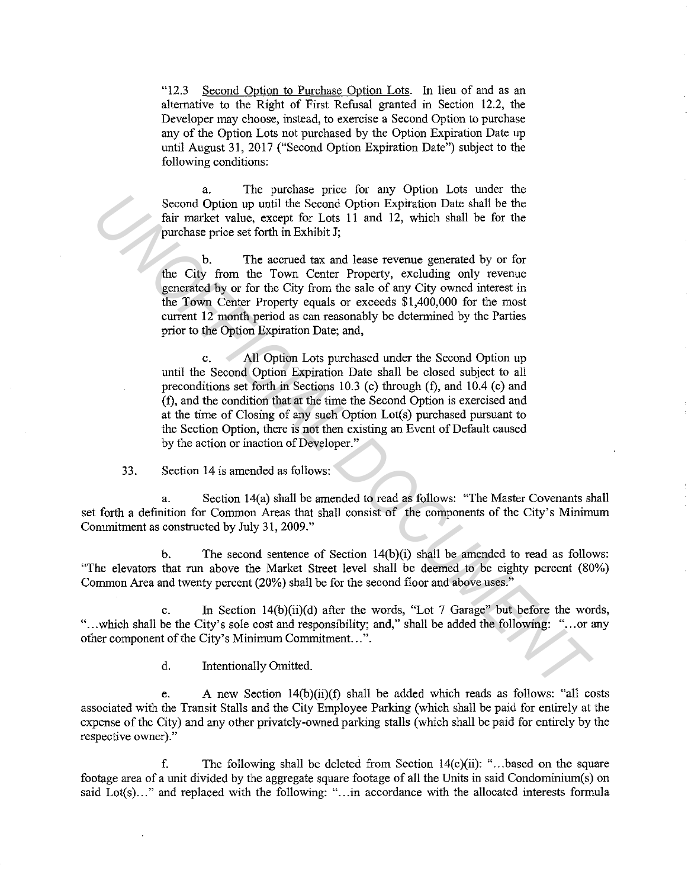"12.3 Second Option to Purchase Option Lots. In lieu of and as an alternative to the Right of First Refusal granted in Section 12.2, the Developer may choose, instead, to exercise a Second Option to purchase any of the Option Lots not purchased by the Option Expiration Date up until August 31, 2017 ("Second Option Expiration Date") subject to the following conditions:

a. The purchase price for any Option Lots under the Second Option up until the Second Option Expiration Date shall be the fair market value, except for Lots 11 and 12, which shall be for the purchase price set forth in Exhibit J;

b. The accrued tax and lease revenue generated by or for the City from the Town Center Property, excluding only revenue generated by or for the City from the sale of any City owned interest in the Town Center Property equals or exceeds \$1,400,000 for the most current 12 month period as can reasonably be determined by the Parties prior to the Option Expiration Date; and,

c. All Option Lots purchased under the Second Option up until the Second Option Expiration Date shall be closed subject to all preconditions set forth in Sections 10.3 (c) through (f), and 10.4 (c) and (f), and the condition that at the time the Second Option is exercised and at the time of Closing of any such Option Lot(s) purchased pursuant to the Section Option, there is not then existing an Event of Default caused by the action or inaction of Developer." Second Option up until the Second Option Explanation Date shall be the<br>
tim market value, except for Loss 11 and 12, which shall be the<br>
tim market value, except for Loss 11 and 12, which shall be for the<br>
time there is p

33. Section 14 is amended as follows:

a. Section 14(a) shall be amended to read as follows: "The Master Covenants shall set forth a definition for Common Areas that shall consist of the components of the City's Minimum Commitment as constructed by July 31, 2009."

b. The second sentence of Section  $14(b)(i)$  shall be amended to read as follows: "The elevators that run above the Market Street level shall be deemed to be eighty percent (80%) Common Area and twenty percent (20%) shall be for the second floor and above uses."

c. In Section 14(b)(ii)(d) after the words, "Lot 7 Garage" but before the words, "...which shall be the City's sole cost and responsibility; and," shall be added the following: "...or any other component of the City's Minimum Commitment...".

d. Intentionally Omitted.

e. A new Section 14(b)(ii)(f) shall be added which reads as follows: "all costs associated with the Transit Stalls and the City Employee Parking (which shall be paid for entirely at the expense of the City) and any other privately-owned parking stalls (which shall be paid for entirely by the respective owner)."

f. The following shall be deleted from Section 14(c)(ii): " ... based on the square footage area of a unit divided by the aggregate square footage of all the Units in said Condominium(s) on said Lot(s)..." and replaced with the following: "...in accordance with the allocated interests formula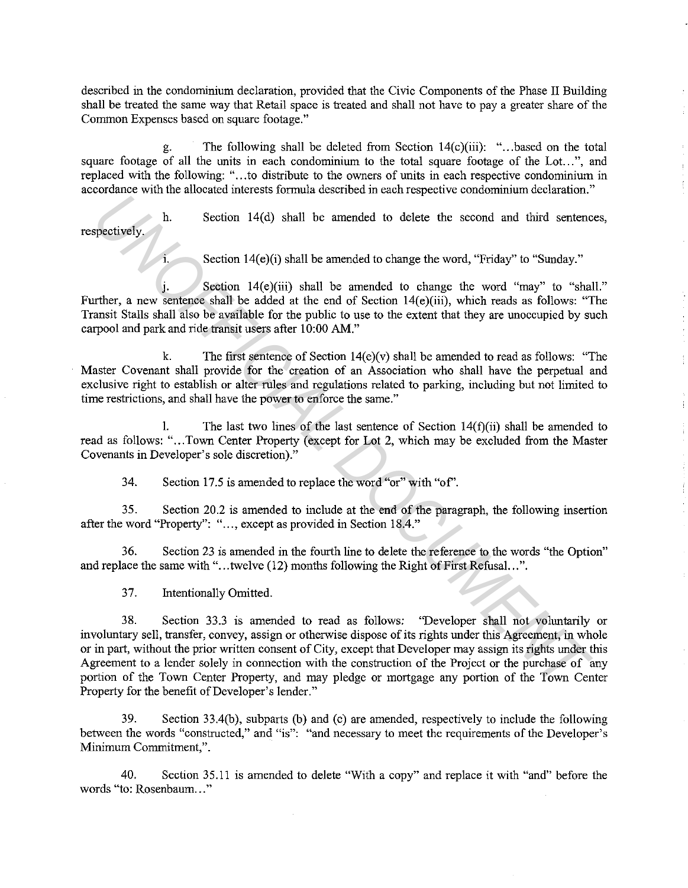described in the condominium declaration, provided that the Civic Components of the Phase II Building shall be treated the same way that Retail space is treated and shall not have to pay a greater share of the Common Expenses based on square footage."

g. The following shall be deleted from Section  $14(c)$ (iii): "...based on the total square footage of all the units in each condominium to the total square footage of the Lot...", and replaced with the following: "...to distribute to the owners of units in each respective condominium in accordance with the allocated interests formula described in each respective condominium declaration."

Section 14(d) shall be amended to delete the second and third sentences, respectively.

1. Section 14(e)(i) shall be amended to change the word, "Friday" to "Sunday."

J. Section 14(e)(iii) shall be amended to change the word "may" to "shall." Further, a new sentence shall be added at the end of Section 14(e)(iii), which reads as follows: "The Transit Stalls shall also be available for the public to use to the extent that they are unoccupied by such carpool and park and ride transit users after 10:00 AM."

k. The first sentence of Section 14(e)(v) shall be amended to read as follows: "The Master Covenant shall provide for the creation of an Association who shall have the perpetual and exclusive right to establish or alter rules and regulations related to parking, including but not limited to time restrictions, and shall have the power to enforce the same."

1. The last two lines of the last sentence of Section  $14(f)(ii)$  shall be amended to read as follows: "... Town Center Property (except for Lot 2, which may be excluded from the Master Covenants in Developer's sole discretion)."

34. Section 17.5 is amended to replace the word "or" with "of'.

35. Section 20.2 is amended to include at the end of the paragraph, the following insertion after the word "Property": "..., except as provided in Section 18.4."

36. Section 23 is amended in the fourth line to delete the reference to the words "the Option" and replace the same with "...twelve (12) months following the Right of First Refusal...".

37. Intentionally Omitted.

38. Section 33.3 is amended to read as follows: "Developer shall not voluntarily or involuntary sell, transfer, convey, assign or otherwise dispose of its rights under this Agreement, in whole or in part, without the prior written consent of City, except that Developer may assign its rights under this Agreement to a lender solely in connection with the construction of the Project or the purchase of any portion of the Town Center Property, and may pledge or mortgage any portion of the Town Center Property for the benefit of Developer's lender." **Example 10** and a law and a law and a law and a statistical of elect the second and third sentence operatively.<br> **Example 14(c)(ii)** shall be amended to change the word "may" to "shrale,<br>
The membersity and  $H(e)(ii)$  shall

39. Section 33.4(b), subparts (b) and (c) are amended, respectively to include the following between the words "constructed," and "is": "and necessary to meet the requirements of the Developer's **Minimum Commitment,".** 

40. Section 35.11 is amended to delete "With a copy" and replace it with "and" before the **words Hto: Rosenbaum ... "**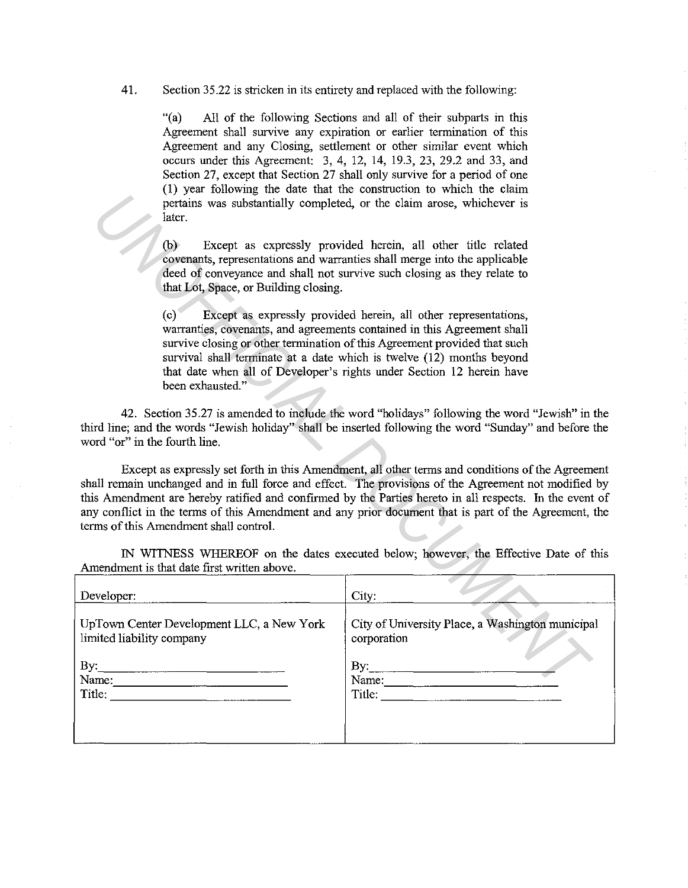41. Section 35.22 is stricken in its entirety and replaced with the following:

"(a) All of the following Sections and all of their subparts in this Agreement shall survive any expiration or earlier termination of this Agreement and any Closing, settlement or other similar event which occurs under this Agreement: 3, 4, 12, 14, 19.3, 23, 29.2 and 33, and Section 27, except that Section 27 shall only survive for a period of one (1) year following the date that the construction to which the claim pertains was substantially completed, or the claim arose, whichever is later.

| later.                                                                 | pertains was substantially completed, or the claim arose, whichever is                                                                                                                                                                                                                                                                                                                                                       |
|------------------------------------------------------------------------|------------------------------------------------------------------------------------------------------------------------------------------------------------------------------------------------------------------------------------------------------------------------------------------------------------------------------------------------------------------------------------------------------------------------------|
| (b)<br>that Lot, Space, or Building closing.                           | Except as expressly provided herein, all other title related<br>covenants, representations and warranties shall merge into the applicable<br>deed of conveyance and shall not survive such closing as they relate to                                                                                                                                                                                                         |
| (c)<br>been exhausted."                                                | Except as expressly provided herein, all other representations,<br>warranties, covenants, and agreements contained in this Agreement shall<br>survive closing or other termination of this Agreement provided that such<br>survival shall terminate at a date which is twelve (12) months beyond<br>that date when all of Developer's rights under Section 12 herein have                                                    |
| word "or" in the fourth line.                                          | 42. Section 35.27 is amended to include the word "holidays" following the word "Jewish" in the<br>third line; and the words "Jewish holiday" shall be inserted following the word "Sunday" and before the                                                                                                                                                                                                                    |
| terms of this Amendment shall control.                                 | Except as expressly set forth in this Amendment, all other terms and conditions of the Agreement<br>shall remain unchanged and in full force and effect. The provisions of the Agreement not modified by<br>this Amendment are hereby ratified and confirmed by the Parties hereto in all respects. In the event of<br>any conflict in the terms of this Amendment and any prior document that is part of the Agreement, the |
| Amendment is that date first written above.                            | IN WITNESS WHEREOF on the dates executed below; however, the Effective Date of this                                                                                                                                                                                                                                                                                                                                          |
| Developer:                                                             | City:                                                                                                                                                                                                                                                                                                                                                                                                                        |
| UpTown Center Development LLC, a New York<br>limited liability company | City of University Place, a Washington municipal<br>corporation                                                                                                                                                                                                                                                                                                                                                              |
| $\mathbf{By:}$<br>Name:                                                | $\mathbf{By:}$                                                                                                                                                                                                                                                                                                                                                                                                               |
|                                                                        |                                                                                                                                                                                                                                                                                                                                                                                                                              |